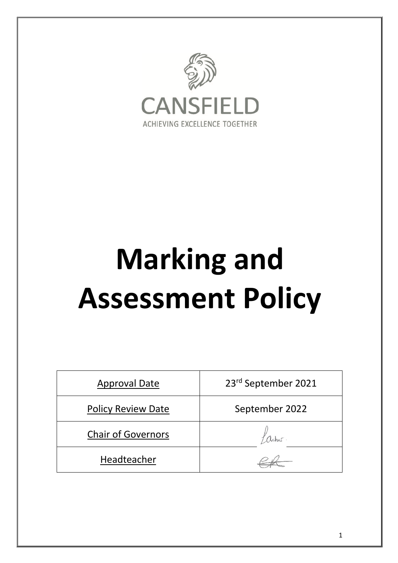

# **Marking and Assessment Policy**

| <b>Approval Date</b>      | 23rd September 2021 |
|---------------------------|---------------------|
| <b>Policy Review Date</b> | September 2022      |
| <b>Chair of Governors</b> |                     |
| Headteacher               |                     |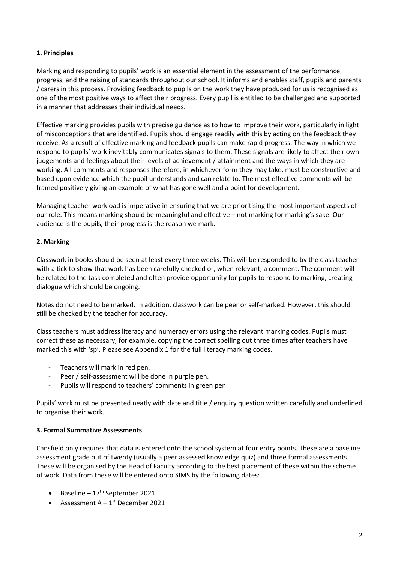## **1. Principles**

Marking and responding to pupils' work is an essential element in the assessment of the performance, progress, and the raising of standards throughout our school. It informs and enables staff, pupils and parents / carers in this process. Providing feedback to pupils on the work they have produced for us is recognised as one of the most positive ways to affect their progress. Every pupil is entitled to be challenged and supported in a manner that addresses their individual needs.

Effective marking provides pupils with precise guidance as to how to improve their work, particularly in light of misconceptions that are identified. Pupils should engage readily with this by acting on the feedback they receive. As a result of effective marking and feedback pupils can make rapid progress. The way in which we respond to pupils' work inevitably communicates signals to them. These signals are likely to affect their own judgements and feelings about their levels of achievement / attainment and the ways in which they are working. All comments and responses therefore, in whichever form they may take, must be constructive and based upon evidence which the pupil understands and can relate to. The most effective comments will be framed positively giving an example of what has gone well and a point for development.

Managing teacher workload is imperative in ensuring that we are prioritising the most important aspects of our role. This means marking should be meaningful and effective – not marking for marking's sake. Our audience is the pupils, their progress is the reason we mark.

## **2. Marking**

Classwork in books should be seen at least every three weeks. This will be responded to by the class teacher with a tick to show that work has been carefully checked or, when relevant, a comment. The comment will be related to the task completed and often provide opportunity for pupils to respond to marking, creating dialogue which should be ongoing.

Notes do not need to be marked. In addition, classwork can be peer or self-marked. However, this should still be checked by the teacher for accuracy.

Class teachers must address literacy and numeracy errors using the relevant marking codes. Pupils must correct these as necessary, for example, copying the correct spelling out three times after teachers have marked this with 'sp'. Please see Appendix 1 for the full literacy marking codes.

- Teachers will mark in red pen.
- Peer / self-assessment will be done in purple pen.
- Pupils will respond to teachers' comments in green pen.

Pupils' work must be presented neatly with date and title / enquiry question written carefully and underlined to organise their work.

## **3. Formal Summative Assessments**

Cansfield only requires that data is entered onto the school system at four entry points. These are a baseline assessment grade out of twenty (usually a peer assessed knowledge quiz) and three formal assessments. These will be organised by the Head of Faculty according to the best placement of these within the scheme of work. Data from these will be entered onto SIMS by the following dates:

- Baseline  $17<sup>th</sup>$  September 2021
- Assessment  $A 1^{st}$  December 2021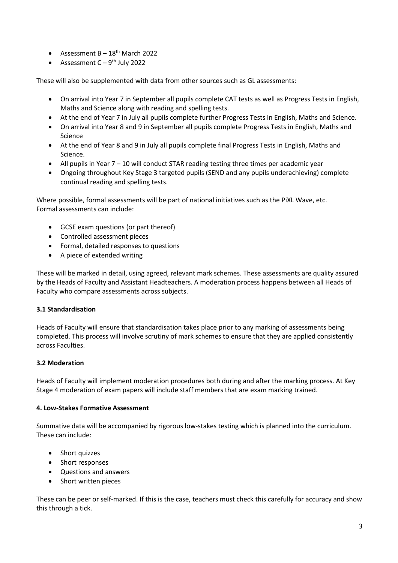- Assessment  $B 18^{th}$  March 2022
- Assessment  $C 9<sup>th</sup>$  July 2022

These will also be supplemented with data from other sources such as GL assessments:

- On arrival into Year 7 in September all pupils complete CAT tests as well as Progress Tests in English, Maths and Science along with reading and spelling tests.
- At the end of Year 7 in July all pupils complete further Progress Tests in English, Maths and Science.
- On arrival into Year 8 and 9 in September all pupils complete Progress Tests in English, Maths and Science
- At the end of Year 8 and 9 in July all pupils complete final Progress Tests in English, Maths and Science.
- All pupils in Year 7 10 will conduct STAR reading testing three times per academic year
- Ongoing throughout Key Stage 3 targeted pupils (SEND and any pupils underachieving) complete continual reading and spelling tests.

Where possible, formal assessments will be part of national initiatives such as the PiXL Wave, etc. Formal assessments can include:

- GCSE exam questions (or part thereof)
- Controlled assessment pieces
- Formal, detailed responses to questions
- A piece of extended writing

These will be marked in detail, using agreed, relevant mark schemes. These assessments are quality assured by the Heads of Faculty and Assistant Headteachers. A moderation process happens between all Heads of Faculty who compare assessments across subjects.

#### **3.1 Standardisation**

Heads of Faculty will ensure that standardisation takes place prior to any marking of assessments being completed. This process will involve scrutiny of mark schemes to ensure that they are applied consistently across Faculties.

#### **3.2 Moderation**

Heads of Faculty will implement moderation procedures both during and after the marking process. At Key Stage 4 moderation of exam papers will include staff members that are exam marking trained.

#### **4. Low-Stakes Formative Assessment**

Summative data will be accompanied by rigorous low-stakes testing which is planned into the curriculum. These can include:

- Short quizzes
- Short responses
- Questions and answers
- Short written pieces

These can be peer or self-marked. If this is the case, teachers must check this carefully for accuracy and show this through a tick.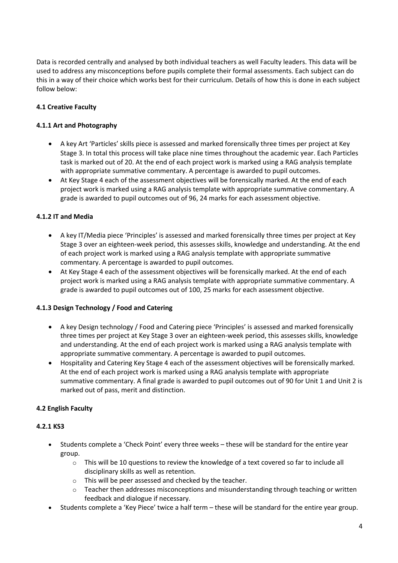Data is recorded centrally and analysed by both individual teachers as well Faculty leaders. This data will be used to address any misconceptions before pupils complete their formal assessments. Each subject can do this in a way of their choice which works best for their curriculum. Details of how this is done in each subject follow below:

# **4.1 Creative Faculty**

## **4.1.1 Art and Photography**

- A key Art 'Particles' skills piece is assessed and marked forensically three times per project at Key Stage 3. In total this process will take place nine times throughout the academic year. Each Particles task is marked out of 20. At the end of each project work is marked using a RAG analysis template with appropriate summative commentary. A percentage is awarded to pupil outcomes.
- At Key Stage 4 each of the assessment objectives will be forensically marked. At the end of each project work is marked using a RAG analysis template with appropriate summative commentary. A grade is awarded to pupil outcomes out of 96, 24 marks for each assessment objective.

# **4.1.2 IT and Media**

- A key IT/Media piece 'Principles' is assessed and marked forensically three times per project at Key Stage 3 over an eighteen-week period, this assesses skills, knowledge and understanding. At the end of each project work is marked using a RAG analysis template with appropriate summative commentary. A percentage is awarded to pupil outcomes.
- At Key Stage 4 each of the assessment objectives will be forensically marked. At the end of each project work is marked using a RAG analysis template with appropriate summative commentary. A grade is awarded to pupil outcomes out of 100, 25 marks for each assessment objective.

## **4.1.3 Design Technology / Food and Catering**

- A key Design technology / Food and Catering piece 'Principles' is assessed and marked forensically three times per project at Key Stage 3 over an eighteen-week period, this assesses skills, knowledge and understanding. At the end of each project work is marked using a RAG analysis template with appropriate summative commentary. A percentage is awarded to pupil outcomes.
- Hospitality and Catering Key Stage 4 each of the assessment objectives will be forensically marked. At the end of each project work is marked using a RAG analysis template with appropriate summative commentary. A final grade is awarded to pupil outcomes out of 90 for Unit 1 and Unit 2 is marked out of pass, merit and distinction.

## **4.2 English Faculty**

## **4.2.1 KS3**

- Students complete a 'Check Point' every three weeks these will be standard for the entire year group.
	- o This will be 10 questions to review the knowledge of a text covered so far to include all disciplinary skills as well as retention.
	- o This will be peer assessed and checked by the teacher.
	- $\circ$  Teacher then addresses misconceptions and misunderstanding through teaching or written feedback and dialogue if necessary.
- Students complete a 'Key Piece' twice a half term these will be standard for the entire year group.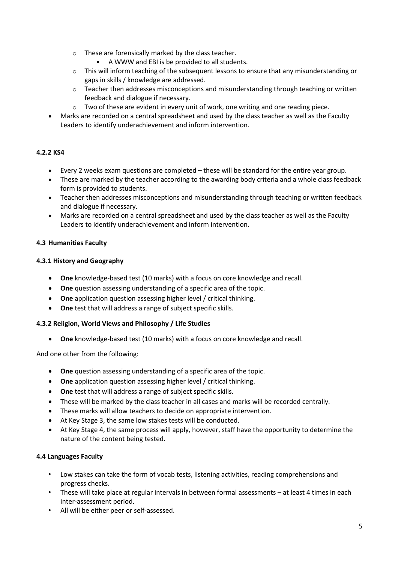- o These are forensically marked by the class teacher.
	- A WWW and EBI is be provided to all students.
- $\circ$  This will inform teaching of the subsequent lessons to ensure that any misunderstanding or gaps in skills / knowledge are addressed.
- $\circ$  Teacher then addresses misconceptions and misunderstanding through teaching or written feedback and dialogue if necessary.
- $\circ$  Two of these are evident in every unit of work, one writing and one reading piece.
- Marks are recorded on a central spreadsheet and used by the class teacher as well as the Faculty Leaders to identify underachievement and inform intervention.

# **4.2.2 KS4**

- Every 2 weeks exam questions are completed these will be standard for the entire year group.
- These are marked by the teacher according to the awarding body criteria and a whole class feedback form is provided to students.
- Teacher then addresses misconceptions and misunderstanding through teaching or written feedback and dialogue if necessary.
- Marks are recorded on a central spreadsheet and used by the class teacher as well as the Faculty Leaders to identify underachievement and inform intervention.

## **4.3 Humanities Faculty**

## **4.3.1 History and Geography**

- **One** knowledge-based test (10 marks) with a focus on core knowledge and recall.
- **One** question assessing understanding of a specific area of the topic.
- **One** application question assessing higher level / critical thinking.
- **One** test that will address a range of subject specific skills.

## **4.3.2 Religion, World Views and Philosophy / Life Studies**

• **One** knowledge-based test (10 marks) with a focus on core knowledge and recall.

And one other from the following:

- **One** question assessing understanding of a specific area of the topic.
- **One** application question assessing higher level / critical thinking.
- **One** test that will address a range of subject specific skills.
- These will be marked by the class teacher in all cases and marks will be recorded centrally.
- These marks will allow teachers to decide on appropriate intervention.
- At Key Stage 3, the same low stakes tests will be conducted.
- At Key Stage 4, the same process will apply, however, staff have the opportunity to determine the nature of the content being tested.

## **4.4 Languages Faculty**

- Low stakes can take the form of vocab tests, listening activities, reading comprehensions and progress checks.
- These will take place at regular intervals in between formal assessments at least 4 times in each inter-assessment period.
- All will be either peer or self-assessed.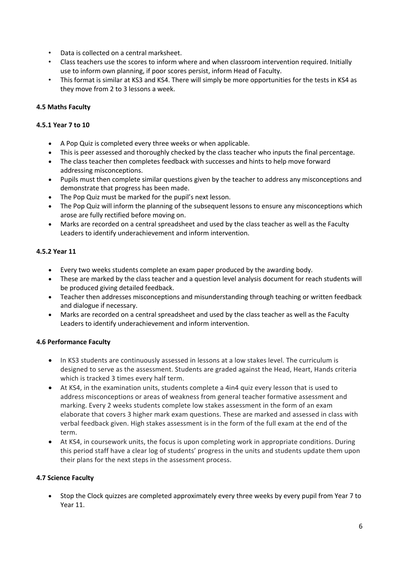- Data is collected on a central marksheet.
- Class teachers use the scores to inform where and when classroom intervention required. Initially use to inform own planning, if poor scores persist, inform Head of Faculty.
- This format is similar at KS3 and KS4. There will simply be more opportunities for the tests in KS4 as they move from 2 to 3 lessons a week.

## **4.5 Maths Faculty**

## **4.5.1 Year 7 to 10**

- A Pop Quiz is completed every three weeks or when applicable.
- This is peer assessed and thoroughly checked by the class teacher who inputs the final percentage.
- The class teacher then completes feedback with successes and hints to help move forward addressing misconceptions.
- Pupils must then complete similar questions given by the teacher to address any misconceptions and demonstrate that progress has been made.
- The Pop Quiz must be marked for the pupil's next lesson.
- The Pop Quiz will inform the planning of the subsequent lessons to ensure any misconceptions which arose are fully rectified before moving on.
- Marks are recorded on a central spreadsheet and used by the class teacher as well as the Faculty Leaders to identify underachievement and inform intervention.

# **4.5.2 Year 11**

- Every two weeks students complete an exam paper produced by the awarding body.
- These are marked by the class teacher and a question level analysis document for reach students will be produced giving detailed feedback.
- Teacher then addresses misconceptions and misunderstanding through teaching or written feedback and dialogue if necessary.
- Marks are recorded on a central spreadsheet and used by the class teacher as well as the Faculty Leaders to identify underachievement and inform intervention.

## **4.6 Performance Faculty**

- In KS3 students are continuously assessed in lessons at a low stakes level. The curriculum is designed to serve as the assessment. Students are graded against the Head, Heart, Hands criteria which is tracked 3 times every half term.
- At KS4, in the examination units, students complete a 4in4 quiz every lesson that is used to address misconceptions or areas of weakness from general teacher formative assessment and marking. Every 2 weeks students complete low stakes assessment in the form of an exam elaborate that covers 3 higher mark exam questions. These are marked and assessed in class with verbal feedback given. High stakes assessment is in the form of the full exam at the end of the term.
- At KS4, in coursework units, the focus is upon completing work in appropriate conditions. During this period staff have a clear log of students' progress in the units and students update them upon their plans for the next steps in the assessment process.

## **4.7 Science Faculty**

• Stop the Clock quizzes are completed approximately every three weeks by every pupil from Year 7 to Year 11.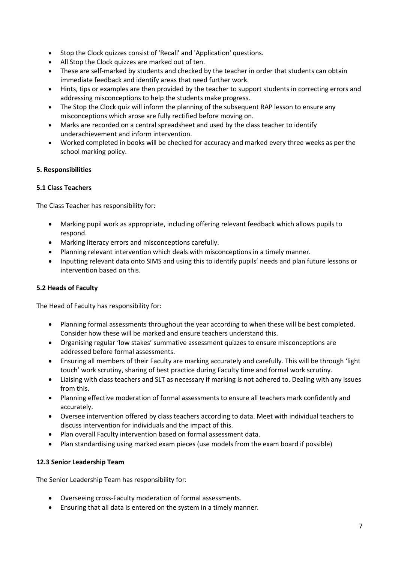- Stop the Clock quizzes consist of 'Recall' and 'Application' questions.
- All Stop the Clock quizzes are marked out of ten.
- These are self-marked by students and checked by the teacher in order that students can obtain immediate feedback and identify areas that need further work.
- Hints, tips or examples are then provided by the teacher to support students in correcting errors and addressing misconceptions to help the students make progress.
- The Stop the Clock quiz will inform the planning of the subsequent RAP lesson to ensure any misconceptions which arose are fully rectified before moving on.
- Marks are recorded on a central spreadsheet and used by the class teacher to identify underachievement and inform intervention.
- Worked completed in books will be checked for accuracy and marked every three weeks as per the school marking policy.

## **5. Responsibilities**

## **5.1 Class Teachers**

The Class Teacher has responsibility for:

- Marking pupil work as appropriate, including offering relevant feedback which allows pupils to respond.
- Marking literacy errors and misconceptions carefully.
- Planning relevant intervention which deals with misconceptions in a timely manner.
- Inputting relevant data onto SIMS and using this to identify pupils' needs and plan future lessons or intervention based on this.

# **5.2 Heads of Faculty**

The Head of Faculty has responsibility for:

- Planning formal assessments throughout the year according to when these will be best completed. Consider how these will be marked and ensure teachers understand this.
- Organising regular 'low stakes' summative assessment quizzes to ensure misconceptions are addressed before formal assessments.
- Ensuring all members of their Faculty are marking accurately and carefully. This will be through 'light touch' work scrutiny, sharing of best practice during Faculty time and formal work scrutiny.
- Liaising with class teachers and SLT as necessary if marking is not adhered to. Dealing with any issues from this.
- Planning effective moderation of formal assessments to ensure all teachers mark confidently and accurately.
- Oversee intervention offered by class teachers according to data. Meet with individual teachers to discuss intervention for individuals and the impact of this.
- Plan overall Faculty intervention based on formal assessment data.
- Plan standardising using marked exam pieces (use models from the exam board if possible)

## **12.3 Senior Leadership Team**

The Senior Leadership Team has responsibility for:

- Overseeing cross-Faculty moderation of formal assessments.
- Ensuring that all data is entered on the system in a timely manner.